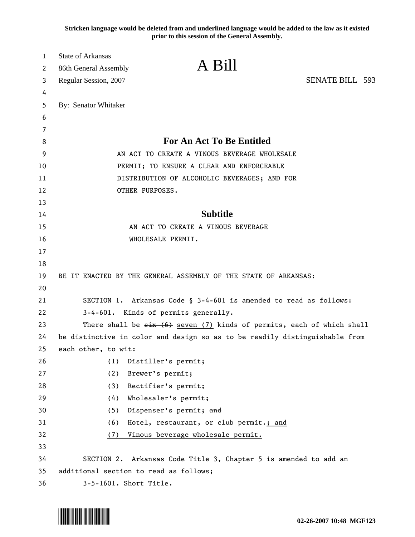**Stricken language would be deleted from and underlined language would be added to the law as it existed prior to this session of the General Assembly.**

| 1<br>2 | <b>State of Arkansas</b><br>A Bill<br>86th General Assembly                   |                        |
|--------|-------------------------------------------------------------------------------|------------------------|
| 3      | Regular Session, 2007                                                         | <b>SENATE BILL 593</b> |
| 4      |                                                                               |                        |
| 5      | By: Senator Whitaker                                                          |                        |
| 6      |                                                                               |                        |
| 7      |                                                                               |                        |
| 8      | <b>For An Act To Be Entitled</b>                                              |                        |
| 9      | AN ACT TO CREATE A VINOUS BEVERAGE WHOLESALE                                  |                        |
| 10     | PERMIT; TO ENSURE A CLEAR AND ENFORCEABLE                                     |                        |
| 11     | DISTRIBUTION OF ALCOHOLIC BEVERAGES; AND FOR                                  |                        |
| 12     | OTHER PURPOSES.                                                               |                        |
| 13     |                                                                               |                        |
| 14     | <b>Subtitle</b>                                                               |                        |
| 15     | AN ACT TO CREATE A VINOUS BEVERAGE                                            |                        |
| 16     | WHOLESALE PERMIT.                                                             |                        |
| 17     |                                                                               |                        |
| 18     |                                                                               |                        |
| 19     | BE IT ENACTED BY THE GENERAL ASSEMBLY OF THE STATE OF ARKANSAS:               |                        |
| 20     |                                                                               |                        |
| 21     | SECTION 1. Arkansas Code § 3-4-601 is amended to read as follows:             |                        |
| 22     | 3-4-601. Kinds of permits generally.                                          |                        |
| 23     | There shall be $\xi$ is $(6)$ seven (7) kinds of permits, each of which shall |                        |
| 24     | be distinctive in color and design so as to be readily distinguishable from   |                        |
| 25     | each other, to wit:                                                           |                        |
| 26     | (1)<br>Distiller's permit;                                                    |                        |
| 27     | (2)<br>Brewer's permit;                                                       |                        |
| 28     | (3)<br>Rectifier's permit;                                                    |                        |
| 29     | Wholesaler's permit;<br>(4)                                                   |                        |
| 30     | (5)<br>Dispenser's permit; and                                                |                        |
| 31     | (6)<br>Hotel, restaurant, or club permit <sub>r</sub> ; and                   |                        |
| 32     | Vinous beverage wholesale permit.<br>(7)                                      |                        |
| 33     |                                                                               |                        |
| 34     | SECTION 2. Arkansas Code Title 3, Chapter 5 is amended to add an              |                        |
| 35     | additional section to read as follows;                                        |                        |
| 36     | 3-5-1601. Short Title.                                                        |                        |

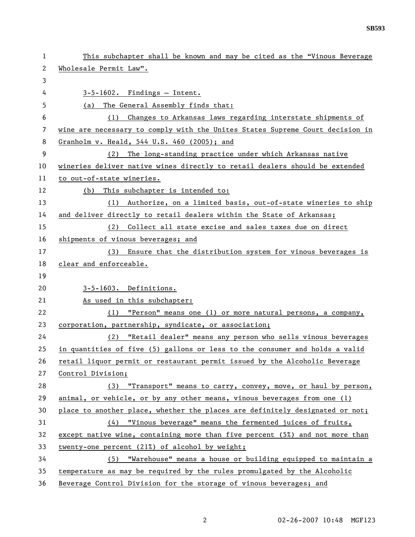| 1  | This subchapter shall be known and may be cited as the "Vinous Beverage       |  |
|----|-------------------------------------------------------------------------------|--|
| 2  | Wholesale Permit Law".                                                        |  |
| 3  |                                                                               |  |
| 4  | $3-5-1602$ . Findings - Intent.                                               |  |
| 5  | The General Assembly finds that:<br>(a)                                       |  |
| 6  | (1) Changes to Arkansas laws regarding interstate shipments of                |  |
| 7  | wine are necessary to comply with the Unites States Supreme Court decision in |  |
| 8  | Granholm v. Heald, 544 U.S. 460 (2005); and                                   |  |
| 9  | (2) The long-standing practice under which Arkansas native                    |  |
| 10 | wineries deliver native wines directly to retail dealers should be extended   |  |
| 11 | to out-of-state wineries.                                                     |  |
| 12 | This subchapter is intended to:<br>(b)                                        |  |
| 13 | (1) Authorize, on a limited basis, out-of-state wineries to ship              |  |
| 14 | and deliver directly to retail dealers within the State of Arkansas;          |  |
| 15 | (2) Collect all state excise and sales taxes due on direct                    |  |
| 16 | shipments of vinous beverages; and                                            |  |
| 17 | (3) Ensure that the distribution system for vinous beverages is               |  |
| 18 | clear and enforceable.                                                        |  |
| 19 |                                                                               |  |
| 20 | 3-5-1603. Definitions.                                                        |  |
| 21 | As used in this subchapter:                                                   |  |
| 22 | (1) "Person" means one (1) or more natural persons, a company,                |  |
| 23 | corporation, partnership, syndicate, or association;                          |  |
| 24 | "Retail dealer" means any person who sells vinous beverages<br>(2)            |  |
| 25 | in quantities of five (5) gallons or less to the consumer and holds a valid   |  |
| 26 | retail liquor permit or restaurant permit issued by the Alcoholic Beverage    |  |
| 27 | Control Division;                                                             |  |
| 28 | (3) "Transport" means to carry, convey, move, or haul by person,              |  |
| 29 | animal, or vehicle, or by any other means, vinous beverages from one (1)      |  |
| 30 | place to another place, whether the places are definitely designated or not;  |  |
| 31 | (4) "Vinous beverage" means the fermented juices of fruits,                   |  |
| 32 | except native wine, containing more than five percent (5%) and not more than  |  |
| 33 | twenty-one percent (21%) of alcohol by weight;                                |  |
| 34 | (5) "Warehouse" means a house or building equipped to maintain a              |  |
| 35 | temperature as may be required by the rules promulgated by the Alcoholic      |  |
| 36 | Beverage Control Division for the storage of vinous beverages; and            |  |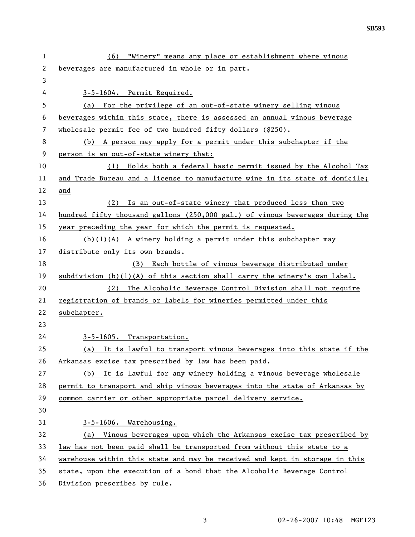| 1  | (6) "Winery" means any place or establishment where vinous                   |  |
|----|------------------------------------------------------------------------------|--|
| 2  | beverages are manufactured in whole or in part.                              |  |
| 3  |                                                                              |  |
| 4  | 3-5-1604. Permit Required.                                                   |  |
| 5  | (a) For the privilege of an out-of-state winery selling vinous               |  |
| 6  | beverages within this state, there is assessed an annual vinous beverage     |  |
| 7  | wholesale permit fee of two hundred fifty dollars (\$250).                   |  |
| 8  | A person may apply for a permit under this subchapter if the<br>(b)          |  |
| 9  | person is an out-of-state winery that:                                       |  |
| 10 | Holds both a federal basic permit issued by the Alcohol Tax<br>(1)           |  |
| 11 | and Trade Bureau and a license to manufacture wine in its state of domicile; |  |
| 12 | and                                                                          |  |
| 13 | (2) Is an out-of-state winery that produced less than two                    |  |
| 14 | hundred fifty thousand gallons (250,000 gal.) of vinous beverages during the |  |
| 15 | year preceding the year for which the permit is requested.                   |  |
| 16 | $(b)(1)(A)$ A winery holding a permit under this subchapter may              |  |
| 17 | distribute only its own brands.                                              |  |
| 18 | Each bottle of vinous beverage distributed under<br>(B)                      |  |
| 19 | subdivision $(b)(1)(A)$ of this section shall carry the winery's own label.  |  |
| 20 | The Alcoholic Beverage Control Division shall not require<br>(2)             |  |
| 21 | registration of brands or labels for wineries permitted under this           |  |
| 22 | subchapter.                                                                  |  |
| 23 |                                                                              |  |
| 24 | 3-5-1605. Transportation.                                                    |  |
| 25 | (a) It is lawful to transport vinous beverages into this state if the        |  |
| 26 | Arkansas excise tax prescribed by law has been paid.                         |  |
| 27 | (b) It is lawful for any winery holding a vinous beverage wholesale          |  |
| 28 | permit to transport and ship vinous beverages into the state of Arkansas by  |  |
| 29 | common carrier or other appropriate parcel delivery service.                 |  |
| 30 |                                                                              |  |
| 31 | 3-5-1606. Warehousing.                                                       |  |
| 32 | (a) Vinous beverages upon which the Arkansas excise tax prescribed by        |  |
| 33 | law has not been paid shall be transported from without this state to a      |  |
| 34 | warehouse within this state and may be received and kept in storage in this  |  |
| 35 | state, upon the execution of a bond that the Alcoholic Beverage Control      |  |
| 36 | Division prescribes by rule.                                                 |  |